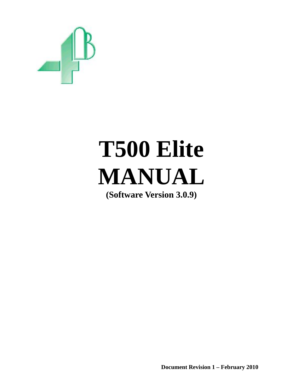

# **T500 Elite MANUAL**

**(Software Version 3.0.9)** 

**Document Revision 1 – February 2010**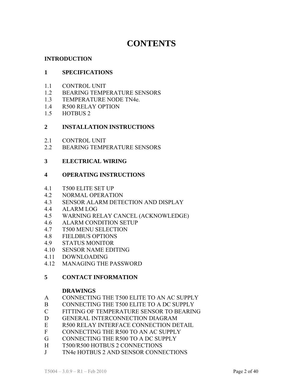# **CONTENTS**

#### **INTRODUCTION**

#### **1 SPECIFICATIONS**

- 1.1 CONTROL UNIT
- 1.2 BEARING TEMPERATURE SENSORS
- 1.3 TEMPERATURE NODE TN4e.
- 1.4 R500 RELAY OPTION
- 1.5 HOTBUS 2

#### **2 INSTALLATION INSTRUCTIONS**

- 2.1 CONTROL UNIT
- 2.2 BEARING TEMPERATURE SENSORS

#### **3 ELECTRICAL WIRING**

#### **4 OPERATING INSTRUCTIONS**

- 4.1 T500 ELITE SET UP
- 4.2 NORMAL OPERATION
- 4.3 SENSOR ALARM DETECTION AND DISPLAY
- 4.4 ALARM LOG
- 4.5 WARNING RELAY CANCEL (ACKNOWLEDGE)
- 4.6 ALARM CONDITION SETUP
- 4.7 T500 MENU SELECTION
- 4.8 FIELDBUS OPTIONS
- 4.9 STATUS MONITOR
- 4.10 SENSOR NAME EDITING
- 4.11 DOWNLOADING
- 4.12 MANAGING THE PASSWORD

#### **5 CONTACT INFORMATION**

#### **DRAWINGS**

- A CONNECTING THE T500 ELITE TO AN AC SUPPLY
- B CONNECTING THE T500 ELITE TO A DC SUPPLY
- C FITTING OF TEMPERATURE SENSOR TO BEARING
- D GENERAL INTERCONNECTION DIAGRAM
- E R500 RELAY INTERFACE CONNECTION DETAIL
- F CONNECTING THE R500 TO AN AC SUPPLY
- G CONNECTING THE R500 TO A DC SUPPLY
- H T500/R500 HOTBUS 2 CONNECTIONS
- J TN4e HOTBUS 2 AND SENSOR CONNECTIONS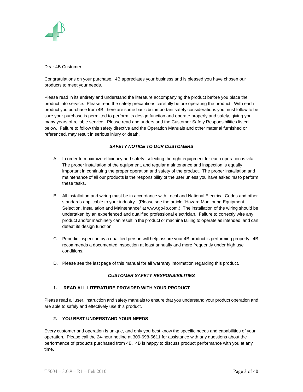

Dear 4B Customer:

Congratulations on your purchase. 4B appreciates your business and is pleased you have chosen our products to meet your needs.

Please read in its entirety and understand the literature accompanying the product before you place the product into service. Please read the safety precautions carefully before operating the product. With each product you purchase from 4B, there are some basic but important safety considerations you must follow to be sure your purchase is permitted to perform its design function and operate properly and safely, giving you many years of reliable service. Please read and understand the Customer Safety Responsibilities listed below. Failure to follow this safety directive and the Operation Manuals and other material furnished or referenced, may result in serious injury or death.

#### *SAFETY NOTICE TO OUR CUSTOMERS*

- A. In order to maximize efficiency and safety, selecting the right equipment for each operation is vital. The proper installation of the equipment, and regular maintenance and inspection is equally important in continuing the proper operation and safety of the product. The proper installation and maintenance of all our products is the responsibility of the user unless you have asked 4B to perform these tasks.
- B. All installation and wiring must be in accordance with Local and National Electrical Codes and other standards applicable to your industry. (Please see the article "Hazard Monitoring Equipment Selection, Installation and Maintenance" at www.go4b.com.) The installation of the wiring should be undertaken by an experienced and qualified professional electrician. Failure to correctly wire any product and/or machinery can result in the product or machine failing to operate as intended, and can defeat its design function.
- C. Periodic inspection by a qualified person will help assure your 4B product is performing properly. 4B recommends a documented inspection at least annually and more frequently under high use conditions.
- D. Please see the last page of this manual for all warranty information regarding this product.

#### *CUSTOMER SAFETY RESPONSIBILITIES*

#### **1. READ ALL LITERATURE PROVIDED WITH YOUR PRODUCT**

Please read all user, instruction and safety manuals to ensure that you understand your product operation and are able to safely and effectively use this product.

#### **2. YOU BEST UNDERSTAND YOUR NEEDS**

Every customer and operation is unique, and only you best know the specific needs and capabilities of your operation. Please call the 24-hour hotline at 309-698-5611 for assistance with any questions about the performance of products purchased from 4B. 4B is happy to discuss product performance with you at any time.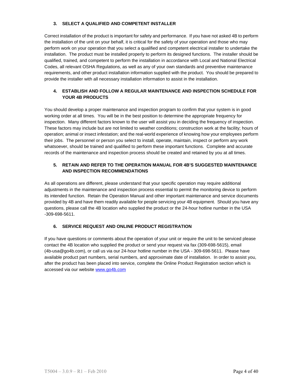#### **3. SELECT A QUALIFIED AND COMPETENT INSTALLER**

Correct installation of the product is important for safety and performance. If you have not asked 4B to perform the installation of the unit on your behalf, it is critical for the safety of your operation and those who may perform work on your operation that you select a qualified and competent electrical installer to undertake the installation. The product must be installed properly to perform its designed functions. The installer should be qualified, trained, and competent to perform the installation in accordance with Local and National Electrical Codes, all relevant OSHA Regulations, as well as any of your own standards and preventive maintenance requirements, and other product installation information supplied with the product. You should be prepared to provide the installer with all necessary installation information to assist in the installation.

#### **4. ESTABLISH AND FOLLOW A REGULAR MAINTENANCE AND INSPECTION SCHEDULE FOR YOUR 4B PRODUCTS**

You should develop a proper maintenance and inspection program to confirm that your system is in good working order at all times. You will be in the best position to determine the appropriate frequency for inspection. Many different factors known to the user will assist you in deciding the frequency of inspection. These factors may include but are not limited to weather conditions; construction work at the facility; hours of operation; animal or insect infestation; and the real-world experience of knowing how your employees perform their jobs. The personnel or person you select to install, operate, maintain, inspect or perform any work whatsoever, should be trained and qualified to perform these important functions. Complete and accurate records of the maintenance and inspection process should be created and retained by you at all times.

#### **5. RETAIN AND REFER TO THE OPERATION MANUAL FOR 4B'S SUGGESTED MAINTENANCE AND INSPECTION RECOMMENDATIONS**

As all operations are different, please understand that your specific operation may require additional adjustments in the maintenance and inspection process essential to permit the monitoring device to perform its intended function. Retain the Operation Manual and other important maintenance and service documents provided by 4B and have them readily available for people servicing your 4B equipment. Should you have any questions, please call the 4B location who supplied the product or the 24-hour hotline number in the USA -309-698-5611.

#### **6. SERVICE REQUEST AND ONLINE PRODUCT REGISTRATION**

If you have questions or comments about the operation of your unit or require the unit to be serviced please contact the 4B location who supplied the product or send your request via fax (309-698-5615), email (4b-usa@go4b.com), or call us via our 24-hour hotline number in the USA - 309-698-5611. Please have available product part numbers, serial numbers, and approximate date of installation. In order to assist you, after the product has been placed into service, complete the Online Product Registration section which is accessed via our website www.go4b.com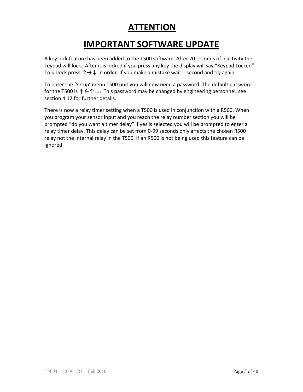# **ATTENTION**

# **IMPORTANT SOFTWARE UPDATE**

A key lock feature has been added to the T500 software. After 20 seconds of inactivity the keypad will lock. After it is locked if you press any key the display will say "Keypad Locked". To unlock press  $\uparrow \rightarrow \downarrow$  in order. If you make a mistake wait 1 second and try again.

To enter the 'Setup' menu T500 unit you will now need a password. The default password for the T500 is  $\uparrow \leftarrow \uparrow \downarrow$ . This password may be changed by engineering personnel, see section 4.12 for further details.

There is now a relay timer setting when a T500 is used in conjunction with a R500. When you program your sensor input and you reach the relay number section you will be prompted "do you want a timer delay" if yes is selected you will be prompted to enter a relay timer delay. This delay can be set from 0‐99 seconds only affects the chosen R500 relay not the internal relay in the T500. If an R500 is not being used this feature can be ignored.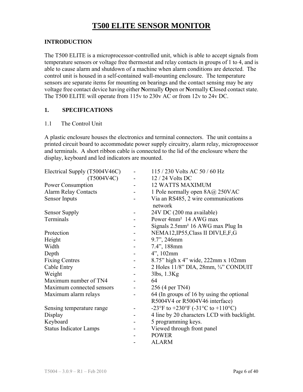# **T500 ELITE SENSOR MONITOR**

#### **INTRODUCTION**

The T500 ELITE is a microprocessor-controlled unit, which is able to accept signals from temperature sensors or voltage free thermostat and relay contacts in groups of 1 to 4, and is able to cause alarm and shutdown of a machine when alarm conditions are detected. The control unit is housed in a self-contained wall-mounting enclosure. The temperature sensors are separate items for mounting on bearings and the contact sensing may be any voltage free contact device having either **N**ormally **O**pen or **N**ormally **C**losed contact state. The T500 ELITE will operate from 115v to 230v AC or from 12v to 24v DC.

#### **1. SPECIFICATIONS**

#### 1.1 The Control Unit

A plastic enclosure houses the electronics and terminal connectors. The unit contains a printed circuit board to accommodate power supply circuitry, alarm relay, microprocessor and terminals. A short ribbon cable is connected to the lid of the enclosure where the display, keyboard and led indicators are mounted.

| Electrical Supply (T5004V46C) | 115 / 230 Volts AC 50 / 60 Hz                  |
|-------------------------------|------------------------------------------------|
| (T5004V4C)                    | 12 / 24 Volts DC                               |
| Power Consumption             | <b>12 WATTS MAXIMUM</b>                        |
| <b>Alarm Relay Contacts</b>   | 1 Pole normally open 8A@ 250VAC                |
| Sensor Inputs                 | Via an RS485, 2 wire communications<br>network |
| <b>Sensor Supply</b>          | 24V DC (200 ma available)                      |
| Terminals                     | Power 4mm <sup>2</sup> 14 AWG max              |
|                               | Signals 2.5mm <sup>2</sup> 16 AWG max Plug In  |
| Protection                    | NEMA12, IP55, Class II DIVI, E, F, G           |
| Height                        | 9.7", 246mm                                    |
| Width                         | 7.4", 188mm                                    |
| Depth                         | 4", 102mm                                      |
| <b>Fixing Centres</b>         | 8.75" high x 4" wide, 222mm x 102mm            |
| Cable Entry                   | 2 Holes 11/8" DIA, 28mm, 3/4" CONDUIT          |
| Weight                        | 3lbs, 1.3Kg                                    |
| Maximum number of TN4         | 64                                             |
| Maximum connected sensors     | 256 (4 per TN4)                                |
| Maximum alarm relays          | 64 (In groups of 16 by using the optional      |
|                               | R5004V4 or R5004V46 interface)                 |
| Sensing temperature range     | -23°F to +230°F (-31°C to +110°C)              |
| Display                       | 4 line by 20 characters LCD with backlight.    |
| Keyboard                      | 5 programming keys.                            |
| <b>Status Indicator Lamps</b> | Viewed through front panel                     |
|                               | <b>POWER</b>                                   |
|                               | <b>ALARM</b>                                   |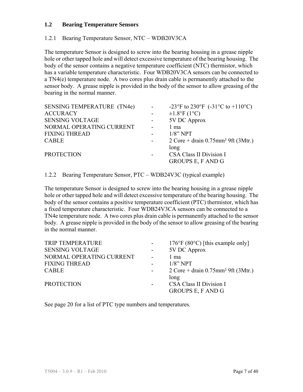#### **1.2 Bearing Temperature Sensors**

#### 1.2.1 Bearing Temperature Sensor, NTC – WDB20V3CA

The temperature Sensor is designed to screw into the bearing housing in a grease nipple hole or other tapped hole and will detect excessive temperature of the bearing housing. The body of the sensor contains a negative temperature coefficient (NTC) thermistor, which has a variable temperature characteristic. Four WDB20V3CA sensors can be connected to a TN4(e) temperature node. A two cores plus drain cable is permanently attached to the sensor body. A grease nipple is provided in the body of the sensor to allow greasing of the bearing in the normal manner.

| <b>SENSING TEMPERATURE (TN4e)</b> |                          | -23°F to 230°F (-31°C to +110°C)                                                        |
|-----------------------------------|--------------------------|-----------------------------------------------------------------------------------------|
| <b>ACCURACY</b>                   |                          | $\pm 1.8$ °F (1°C)                                                                      |
| <b>SENSING VOLTAGE</b>            |                          | 5V DC Approx                                                                            |
| NORMAL OPERATING CURRENT          | $\blacksquare$           | 1 ma                                                                                    |
| <b>FIXING THREAD</b>              |                          | $1/8$ " NPT                                                                             |
| <b>CABLE</b>                      | $\blacksquare$           | $2 \text{ Core} + \text{drain } 0.75 \text{mm}^2 \text{ } 9 \text{ft } (3 \text{Mtr.})$ |
|                                   |                          | long                                                                                    |
| <b>PROTECTION</b>                 | $\overline{\phantom{a}}$ | <b>CSA Class II Division I</b>                                                          |
|                                   |                          | <b>GROUPS E, F AND G</b>                                                                |
|                                   |                          |                                                                                         |

1.2.2 Bearing Temperature Sensor, PTC – WDB24V3C (typical example)

The temperature Sensor is designed to screw into the bearing housing in a grease nipple hole or other tapped hole and will detect excessive temperature of the bearing housing. The body of the sensor contains a positive temperature coefficient (PTC) thermistor, which has a fixed temperature characteristic. Four WDB24V3CA sensors can be connected to a TN4e temperature node. A two cores plus drain cable is permanently attached to the sensor body. A grease nipple is provided in the body of the sensor to allow greasing of the bearing in the normal manner.

| <b>TRIP TEMPERATURE</b>  | $\sim 100$     | $176^{\circ}$ F (80 $^{\circ}$ C) [this example only]                                   |
|--------------------------|----------------|-----------------------------------------------------------------------------------------|
| <b>SENSING VOLTAGE</b>   |                | 5V DC Approx                                                                            |
| NORMAL OPERATING CURRENT | $\blacksquare$ | 1 ma                                                                                    |
| <b>FIXING THREAD</b>     |                | $1/8$ " NPT                                                                             |
| <b>CABLE</b>             | $\blacksquare$ | $2 \text{ Core} + \text{drain } 0.75 \text{mm}^2 \text{ } 9 \text{ft } (3 \text{Mtr.})$ |
| <b>PROTECTION</b>        | ۰.             | long<br><b>CSA Class II Division I</b><br><b>GROUPS E, F AND G</b>                      |

See page 20 for a list of PTC type numbers and temperatures.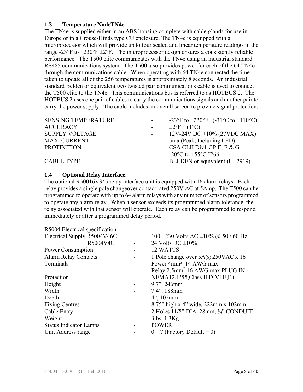#### **1.3 Temperature NodeTN4e.**

The TN4e is supplied either in an ABS housing complete with cable glands for use in Europe or in a Crouse-Hinds type CU enclosure. The TN4e is equipped with a microprocessor which will provide up to four scaled and linear temperature readings in the range -23°F to  $+230$ °F  $\pm 2$ °F. The microprocessor design ensures a consistently reliable performance. The T500 elite communicates with the TN4e using an industrial standard RS485 communications system. The T500 also provides power for each of the 64 TN4e through the communications cable. When operating with 64 TN4e connected the time taken to update all of the 256 temperatures is approximately 8 seconds. An industrial standard Belden or equivalent two twisted pair communications cable is used to connect the T500 elite to the TN4e. This communications bus is referred to as HOTBUS 2. The HOTBUS 2 uses one pair of cables to carry the communications signals and another pair to carry the power supply. The cable includes an overall screen to provide signal protection.

| <b>SENSING TEMPERATURE</b> | $\sim$ 100 $\mu$ | -23°F to +230°F $(-31^{\circ}C \text{ to } +110^{\circ}C)$ |
|----------------------------|------------------|------------------------------------------------------------|
| <b>ACCURACY</b>            |                  | $\pm 2$ °F (1°C)                                           |
| <b>SUPPLY VOLTAGE</b>      |                  | 12V-24V DC $\pm 10\%$ (27VDC MAX)                          |
| <b>MAX. CURRENT</b>        |                  | 5ma (Peak, Including LED)                                  |
| <b>PROTECTION</b>          | $\sim 100$       | CSA CLII Div1 GP E, F & G                                  |
|                            |                  | -20 $^{\circ}$ C to +55 $^{\circ}$ C IP66                  |
| <b>CABLE TYPE</b>          | $\sim 100$       | BELDEN or equivalent (UL2919)                              |
|                            |                  |                                                            |

#### **1.4 Optional Relay Interface.**

The optional R50016V345 relay interface unit is equipped with 16 alarm relays. Each relay provides a single pole changeover contact rated 250V AC at 5Amp. The T500 can be programmed to operate with up to 64 alarm relays with any number of sensors programmed to operate any alarm relay. When a sensor exceeds its programmed alarm tolerance, the relay associated with that sensor will operate. Each relay can be programmed to respond immediately or after a programmed delay period.

| R5004 Electrical specification |                          |                                             |
|--------------------------------|--------------------------|---------------------------------------------|
| Electrical Supply R5004V46C    | $\overline{\phantom{m}}$ | 100 - 230 Volts AC $\pm 10\%$ @ 50 / 60 Hz  |
| R5004V4C                       |                          | 24 Volts DC $\pm 10\%$                      |
| <b>Power Consumption</b>       |                          | 12 WATTS                                    |
| <b>Alarm Relay Contacts</b>    |                          | 1 Pole change over 5A@ 250VAC x 16          |
| Terminals                      |                          | Power 4mm <sup>2</sup> 14 AWG max           |
|                                |                          | Relay 2.5mm <sup>2</sup> 16 AWG max PLUG IN |
| Protection                     |                          | NEMA12, IP55, Class II DIVI, E, F, G        |
| Height                         |                          | 9.7", 246mm                                 |
| Width                          |                          | 7.4", 188mm                                 |
| Depth                          |                          | $4$ ", 102mm                                |
| <b>Fixing Centres</b>          |                          | 8.75" high x 4" wide, 222mm x 102mm         |
| Cable Entry                    |                          | 2 Holes 11/8" DIA, 28mm, 3/4" CONDUIT       |
| Weight                         |                          | $3lbs$ , $1.3Kg$                            |
| <b>Status Indicator Lamps</b>  |                          | <b>POWER</b>                                |
| Unit Address range             |                          | $0 - 7$ (Factory Default = 0)               |
|                                |                          |                                             |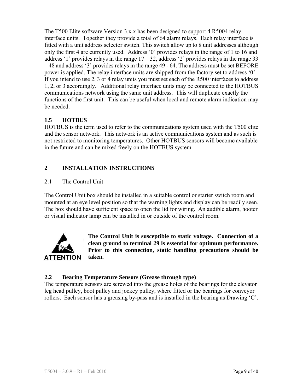The T500 Elite software Version 3.x.x has been designed to support 4 R5004 relay interface units. Together they provide a total of 64 alarm relays. Each relay interface is fitted with a unit address selector switch. This switch allow up to 8 unit addresses although only the first 4 are currently used. Address '0' provides relays in the range of 1 to 16 and address '1' provides relays in the range  $17 - 32$ , address '2' provides relays in the range 33 – 48 and address '3' provides relays in the range 49 - 64. The address must be set BEFORE power is applied. The relay interface units are shipped from the factory set to address '0'. If you intend to use 2, 3 or 4 relay units you must set each of the R500 interfaces to address 1, 2, or 3 accordingly. Additional relay interface units may be connected to the HOTBUS communications network using the same unit address. This will duplicate exactly the functions of the first unit. This can be useful when local and remote alarm indication may be needed.

# **1.5 HOTBUS**

HOTBUS is the term used to refer to the communications system used with the T500 elite and the sensor network. This network is an active communications system and as such is not restricted to monitoring temperatures. Other HOTBUS sensors will become available in the future and can be mixed freely on the HOTBUS system.

## **2 INSTALLATION INSTRUCTIONS**

#### 2.1 The Control Unit

The Control Unit box should be installed in a suitable control or starter switch room and mounted at an eye level position so that the warning lights and display can be readily seen. The box should have sufficient space to open the lid for wiring. An audible alarm, hooter or visual indicator lamp can be installed in or outside of the control room.



**The Control Unit is susceptible to static voltage. Connection of a clean ground to terminal 29 is essential for optimum performance. Prior to this connection, static handling precautions should be taken.** 

#### **2.2 Bearing Temperature Sensors (Grease through type)**

The temperature sensors are screwed into the grease holes of the bearings for the elevator leg head pulley, boot pulley and jockey pulley, where fitted or the bearings for conveyor rollers. Each sensor has a greasing by-pass and is installed in the bearing as Drawing 'C'.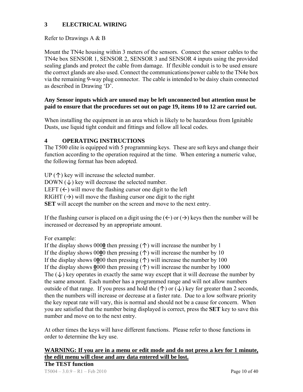## **3 ELECTRICAL WIRING**

#### Refer to Drawings A & B

Mount the TN4e housing within 3 meters of the sensors. Connect the sensor cables to the TN4e box SENSOR 1, SENSOR 2, SENSOR 3 and SENSOR 4 inputs using the provided sealing glands and protect the cable from damage. If flexible conduit is to be used ensure the correct glands are also used. Connect the communications/power cable to the TN4e box via the remaining 9-way plug connector. The cable is intended to be daisy chain connected as described in Drawing 'D'.

#### **Any Sensor inputs which are unused may be left unconnected but attention must be paid to ensure that the procedures set out on page 19, items 10 to 12 are carried out.**

When installing the equipment in an area which is likely to be hazardous from Ignitable Dusts, use liquid tight conduit and fittings and follow all local codes.

#### **4 OPERATING INSTRUCTIONS**

The T500 elite is equipped with 5 programming keys. These are soft keys and change their function according to the operation required at the time. When entering a numeric value, the following format has been adopted.

UP  $(\uparrow)$  key will increase the selected number. DOWN  $(\downarrow)$  key will decrease the selected number. LEFT  $(\leftarrow)$  will move the flashing cursor one digit to the left RIGHT  $(\rightarrow)$  will move the flashing cursor one digit to the right **SET** will accept the number on the screen and move to the next entry.

If the flashing cursor is placed on a digit using the  $(\leftarrow)$  or  $(\rightarrow)$  keys then the number will be increased or decreased by an appropriate amount.

For example:

If the display shows 000**0** then pressing (↑) will increase the number by 1 If the display shows  $0000$  then pressing  $($ <sup> $\uparrow$ </sup> $)$  will increase the number by 10 If the display shows 0000 then pressing  $(\uparrow)$  will increase the number by 100 If the display shows  $0000$  then pressing  $($ <sup> $\uparrow$ </sup> $)$  will increase the number by 1000 The  $(\downarrow)$  key operates in exactly the same way except that it will decrease the number by the same amount. Each number has a programmed range and will not allow numbers outside of that range. If you press and hold the  $(\uparrow)$  or  $(\downarrow)$  key for greater than 2 seconds, then the numbers will increase or decrease at a faster rate. Due to a low software priority the key repeat rate will vary, this is normal and should not be a cause for concern. When you are satisfied that the number being displayed is correct, press the **SET** key to save this number and move on to the next entry.

At other times the keys will have different functions. Please refer to those functions in order to determine the key use.

#### **WARNING: If you are in a menu or edit mode and do not press a key for 1 minute, the edit menu will close and any data entered will be lost. The TEST function**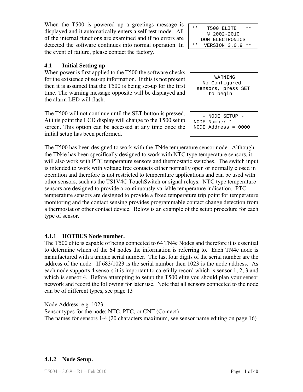When the T500 is powered up a greetings message is displayed and it automatically enters a self-test mode. All of the internal functions are examined and if no errors are detected the software continues into normal operation. In the event of failure, please contact the factory.

#### **4.1 Initial Setting up**

When power is first applied to the T500 the software checks for the existence of set-up information. If this is not present then it is assumed that the T500 is being set-up for the first time. The warning message opposite will be displayed and the alarm LED will flash.

The T500 will not continue until the SET button is pressed. At this point the LCD display will change to the T500 setup screen. This option can be accessed at any time once the initial setup has been performed.

The T500 has been designed to work with the TN4e temperature sensor node. Although the TN4e has been specifically designed to work with NTC type temperature sensors, it will also work with PTC temperature sensors and thermostatic switches. The switch input is intended to work with voltage free contacts either normally open or normally closed in operation and therefore is not restricted to temperature applications and can be used with other sensors, such as the TS1V4C TouchSwitch or signal relays. NTC type temperature sensors are designed to provide a continuously variable temperature indication. PTC temperature sensors are designed to provide a fixed temperature trip point for temperature monitoring and the contact sensing provides programmable contact change detection from a thermostat or other contact device. Below is an example of the setup procedure for each type of sensor.

#### **4.1.1 HOTBUS Node number.**

The T500 elite is capable of being connected to 64 TN4e Nodes and therefore it is essential to determine which of the 64 nodes the information is referring to. Each TN4e node is manufactured with a unique serial number. The last four digits of the serial number are the address of the node. If 683/1023 is the serial number then 1023 is the node address. As each node supports 4 sensors it is important to carefully record which is sensor 1, 2, 3 and which is sensor 4. Before attempting to setup the T500 elite you should plan your sensor network and record the following for later use. Note that all sensors connected to the node can be of different types, see page 13

Node Address: e.g. 1023 Sensor types for the node: NTC, PTC, or CNT (Contact) The names for sensors 1-4 (20 characters maximum, see sensor name editing on page 16)

\*\* T500 ELITE \*\* © 2002-2010 DON ELECTRONICS \*\* VERSION 3.0.9 \*\*

 WARNING No Configured sensors, press SET to begin

| - NODE SETUP -        |
|-----------------------|
| NODE Number 1         |
| NODE Address = $0000$ |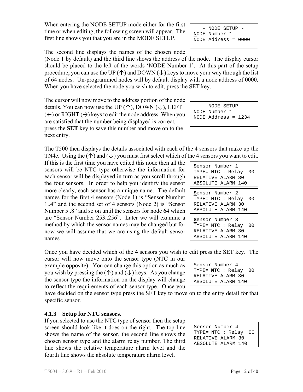When entering the NODE SETUP mode either for the first time or when editing, the following screen will appear. The first line shows you that you are in the MODE SETUP.

The second line displays the names of the chosen node

(Node 1 by default) and the third line shows the address of the node. The display cursor should be placed to the left of the words 'NODE Number 1'. At this part of the setup procedure, you can use the UP ( $\uparrow$ ) and DOWN ( $\downarrow$ ) keys to move your way through the list of 64 nodes. Un-programmed nodes will by default display with a node address of 0000. When you have selected the node you wish to edit, press the SET key.

The cursor will now move to the address portion of the node details. You can now use the UP  $(\uparrow)$ , DOWN  $(\downarrow)$ , LEFT  $(\Leftarrow)$  or RIGHT  $(\rightarrow)$  keys to edit the node address. When you are satisfied that the number being displayed is correct, press the **SET** key to save this number and move on to the next entry.

The T500 then displays the details associated with each of the 4 sensors that make up the TN4e. Using the  $(\uparrow)$  and  $(\downarrow)$  you must first select which of the 4 sensors you want to edit.

If this is the first time you have edited this node then all the sensors will be NTC type otherwise the information for each sensor will be displayed in turn as you scroll through the four sensors. In order to help you identify the sensor more clearly, each sensor has a unique name. The default names for the first 4 sensors (Node 1) is "Sensor Number 1..4" and the second set of 4 sensors (Node 2) is "Sensor Number 5..8" and so on until the sensors for node 64 which are "Sensor Number 253..256". Later we will examine a method by which the sensor names may be changed but for now we will assume that we are using the default sensor names.

Once you have decided which of the 4 sensors you wish to edit press the SET key. The

cursor will now move onto the sensor type (NTC in our example opposite). You can change this option as much as you wish by pressing the  $(\uparrow)$  and  $(\downarrow)$  keys. As you change the sensor type the information on the display will change to reflect the requirements of each sensor type. Once you

have decided on the sensor type press the SET key to move on to the entry detail for that specific sensor.

#### **4.1.3 Setup for NTC sensors.**

If you selected to use the NTC type of sensor then the setup screen should look like it does on the right. The top line shows the name of the sensor, the second line shows the chosen sensor type and the alarm relay number. The third line shows the relative temperature alarm level and the fourth line shows the absolute temperature alarm level.

 - NODE SETUP - NODE Number 1 NODE Address = 0000

 - NODE SETUP - NODE Number 1 NODE Address = 1234

| Sensor Number 1<br>TYPE= NTC : Relay 00<br>RELATIVE ALARM 30<br>ABSOLUTE ALARM 140 |  |
|------------------------------------------------------------------------------------|--|
| Sensor Number 2<br>TYPE= NTC : Relay 00<br>RELATIVE ALARM 30<br>ABSOLUTE ALARM 140 |  |
| Sensor Number 3<br>TYPE= NTC : Relay 00<br>RELATIVE ALARM 30<br>ABSOLUTE ALARM 140 |  |

| Sensor Number 4        |
|------------------------|
| TYPE= $NTC : Relay 00$ |
| RELATIVE ALARM 30      |
| ABSOLUTE ALARM 140     |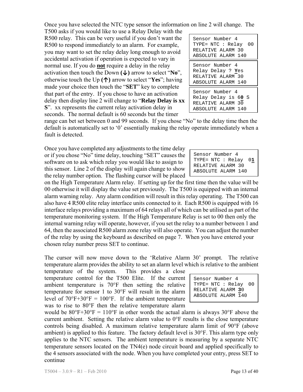$T5004 - 3.0.9 - R1 - Feb\ 2010$  Page 13 of 40

Once you have selected the NTC type sensor the information on line 2 will change. The T500 asks if you would like to use a Relay Delay with the

R500 relay. This can be very useful if you don't want the R500 to respond immediately to an alarm. For example, you may want to set the relay delay long enough to avoid accidental activation if operation is expected to vary in normal use. If you do **not** require a delay in the relay activation then touch the Down  $(\downarrow)$  arrow to select "No", otherwise touch the Up **(↑)** arrow to select "**Yes**"; having made your choice then touch the "**SET**" key to complete that part of the entry. If you chose to have an activation delay then display line 2 will change to "**Relay Delay is xx S**". xx represents the current relay activation delay in seconds. The normal default is 60 seconds but the timer

| Sensor Number 4      |
|----------------------|
| TYPE= NTC : Relay 00 |
| RELATIVE ALARM 30    |
| ABSOLUTE ALARM 140   |
| Sensor Number 4      |
| Relay Delay ? Yes    |
| RELATIVE ALARM 30    |
| ABSOLUTE ALARM 140   |
| Sensor Number 4      |
| Relay Delay is 60 S  |
| RELATIVE ALARM 30    |
|                      |
| ABSOLUTE ALARM 140   |

range can bet set between 0 and 99 seconds. If you chose "No" to the delay time then the default is automatically set to '0' essentially making the relay operate immediately when a fault is detected.

Once you have completed any adjustments to the time delay or if you chose "No" time delay, touching "SET" causes the software on to ask which relay you would like to assign to this sensor. Line 2 of the display will again change to show the relay number option. The flashing cursor will be placed

TYPE= NTC : Relay 0**1** RELATIVE ALARM 30 ABSOLUTE ALARM 140

Sensor Number 4

on the High Temperature Alarm relay. If setting up for the first time then the value will be 00 otherwise it will display the value set previously. The T500 is equipped with an internal alarm warning relay. Any alarm condition will result in this relay operating. The T500 can also have 4 R500 elite relay interface units connected to it. Each R500 is equipped with 16 interface relays providing a maximum of 64 relays all of which can be utilised as part of the temperature monitoring system. If the High Temperature Relay is set to 00 then only the internal warning relay will operate, however, if you set the relay to a number between 1 and 64, then the associated R500 alarm zone relay will also operate. You can adjust the number of the relay by using the keyboard as described on page 7. When you have entered your chosen relay number press SET to continue.

The cursor will now move down to the 'Relative Alarm 30' prompt. The relative temperature alarm provides the ability to set an alarm level which is relative to the ambient

current ambient. Setting the relative alarm value to 0°F results is the close temperature controls being disabled. A maximum relative temperature alarm limit of 90°F (above ambient) is applied to this feature. The factory default level is 30°F. This alarm type only applies to the NTC sensors. The ambient temperature is measuring by a separate NTC temperature sensors located on the TN4(e) node circuit board and applied specifically to

temperature of the system. This provides a close temperature control for the T500 Elite. If the current ambient temperature is 70°F then setting the relative temperature for sensor 1 to 30°F will result in the alarm level of  $70^{\circ}F+30^{\circ}F = 100^{\circ}F$ . If the ambient temperature was to rise to 80°F then the relative temperature alarm would be  $80^{\circ}F+30^{\circ}F = 110^{\circ}F$  in other words the actual alarm is always  $30^{\circ}F$  above the

Sensor Number 4 TYPE= NTC : Relay 00 RELATIVE ALARM **3**0 ABSOLUTE ALARM 140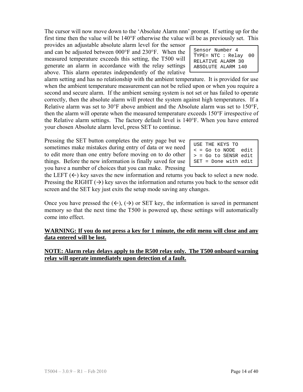The cursor will now move down to the 'Absolute Alarm nnn' prompt. If setting up for the first time then the value will be 140°F otherwise the value will be as previously set. This

provides an adjustable absolute alarm level for the sensor and can be adjusted between 000°F and 230°F. When the measured temperature exceeds this setting, the T500 will generate an alarm in accordance with the relay settings above. This alarm operates independently of the relative

alarm setting and has no relationship with the ambient temperature. It is provided for use when the ambient temperature measurement can not be relied upon or when you require a second and secure alarm. If the ambient sensing system is not set or has failed to operate correctly, then the absolute alarm will protect the system against high temperatures. If a Relative alarm was set to 30°F above ambient and the Absolute alarm was set to 150°F, then the alarm will operate when the measured temperature exceeds 150°F irrespective of the Relative alarm settings. The factory default level is 140°F. When you have entered your chosen Absolute alarm level, press SET to continue.

Pressing the SET button completes the entry page but we sometimes make mistakes during entry of data or we need to edit more than one entry before moving on to do other things. Before the new information is finally saved for use you have a number of choices that you can make. Pressing

the LEFT  $(\leftarrow)$  key saves the new information and returns you back to select a new node. Pressing the RIGHT  $(\rightarrow)$  key saves the information and returns you back to the sensor edit screen and the SET key just exits the setup mode saving any changes.

Once you have pressed the  $(\leftarrow)$ ,  $(\rightarrow)$  or SET key, the information is saved in permanent memory so that the next time the T500 is powered up, these settings will automatically come into effect.

**WARNING: If you do not press a key for 1 minute, the edit menu will close and any data entered will be lost.**

#### **NOTE: Alarm relay delays apply to the R500 relay only. The T500 onboard warning relay will operate immediately upon detection of a fault.**

| Sensor Number 4      |
|----------------------|
| TYPE= NTC : Relay 00 |
| RELATIVE ALARM 30    |
| ABSOLUTE ALARM 140   |

| USE THE KEYS TO        |  |
|------------------------|--|
| < = Go to NODE edit    |  |
| > = Go to SENSR edit   |  |
| $SET = Done with edit$ |  |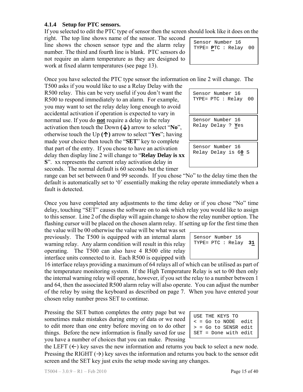# **4.1.4 Setup for PTC sensors.**

If you selected to edit the PTC type of sensor then the screen should look like it does on the

right. The top line shows name of the sensor. The second line shows the chosen sensor type and the alarm relay number. The third and fourth line is blank. PTC sensors do not require an alarm temperature as they are designed to work at fixed alarm temperatures (see page 13).

Sensor Number 16 TYPE= **P**TC : Relay 00

Once you have selected the PTC type sensor the information on line 2 will change. The

T500 asks if you would like to use a Relay Delay with the R500 relay. This can be very useful if you don't want the R500 to respond immediately to an alarm. For example, you may want to set the relay delay long enough to avoid accidental activation if operation is expected to vary in normal use. If you do **not** require a delay in the relay activation then touch the Down **(↓)** arrow to select "**No**", otherwise touch the Up **(↑)** arrow to select "**Yes**"; having made your choice then touch the "**SET**" key to complete that part of the entry. If you chose to have an activation delay then display line 2 will change to "**Relay Delay is xx S**". xx represents the current relay activation delay in seconds. The normal default is 60 seconds but the timer

| Sensor Number 16<br>TYPE= PTC : Relay 00 |
|------------------------------------------|
| Sensor Number 16<br>Relay Delay ? Yes    |
| Sensor Number 16<br>Relay Delay is 60 S  |

range can bet set between 0 and 99 seconds. If you chose "No" to the delay time then the default is automatically set to '0' essentially making the relay operate immediately when a fault is detected.

Once you have completed any adjustments to the time delay or if you chose "No" time delay, touching "SET" causes the software on to ask which relay you would like to assign to this sensor. Line 2 of the display will again change to show the relay number option. The flashing cursor will be placed on the chosen alarm relay. If setting up for the first time then

the value will be 00 otherwise the value will be what was set previously. The T500 is equipped with an internal alarm warning relay. Any alarm condition will result in this relay operating. The T500 can also have 4 R500 elite relay interface units connected to it. Each R500 is equipped with

16 interface relays providing a maximum of 64 relays all of which can be utilised as part of the temperature monitoring system. If the High Temperature Relay is set to 00 then only the internal warning relay will operate, however, if you set the relay to a number between 1 and 64, then the associated R500 alarm relay will also operate. You can adjust the number of the relay by using the keyboard as described on page 7. When you have entered your chosen relay number press SET to continue.

Pressing the SET button completes the entry page but we sometimes make mistakes during entry of data or we need to edit more than one entry before moving on to do other things. Before the new information is finally saved for use you have a number of choices that you can make. Pressing

| USE THE KEYS TO              |  |
|------------------------------|--|
| $\epsilon$ = Go to NODE edit |  |
| $>$ = Go to SENSR edit       |  |
| SET = Done with edit         |  |

Sensor Number 16 TYPE= PTC : Relay **31**

the LEFT  $(\leftarrow)$  key saves the new information and returns you back to select a new node. Pressing the RIGHT  $(\rightarrow)$  key saves the information and returns you back to the sensor edit screen and the SET key just exits the setup mode saving any changes.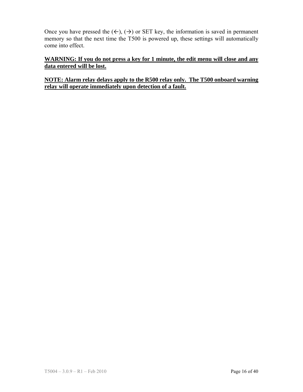Once you have pressed the  $(\leftarrow)$ ,  $(\rightarrow)$  or SET key, the information is saved in permanent memory so that the next time the T500 is powered up, these settings will automatically come into effect.

#### **WARNING: If you do not press a key for 1 minute, the edit menu will close and any data entered will be lost.**

#### **NOTE: Alarm relay delays apply to the R500 relay only. The T500 onboard warning relay will operate immediately upon detection of a fault.**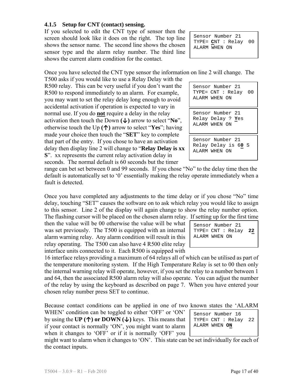# **4.1.5 Setup for CNT (contact) sensing.**

If you selected to edit the CNT type of sensor then the screen should look like it does on the right. The top line shows the sensor name. The second line shows the chosen sensor type and the alarm relay number. The third line shows the current alarm condition for the contact.

Sensor Number 21 TYPE= **C**NT : Relay 00 ALARM WHEN ON

Once you have selected the CNT type sensor the information on line 2 will change. The

T500 asks if you would like to use a Relay Delay with the R500 relay. This can be very useful if you don't want the R500 to respond immediately to an alarm. For example, you may want to set the relay delay long enough to avoid accidental activation if operation is expected to vary in normal use. If you do **not** require a delay in the relay activation then touch the Down **(↓)** arrow to select "**No**", otherwise touch the Up **(↑)** arrow to select "**Yes**"; having made your choice then touch the "**SET**" key to complete that part of the entry. If you chose to have an activation delay then display line 2 will change to "**Relay Delay is xx S**". xx represents the current relay activation delay in seconds. The normal default is 60 seconds but the timer

Sensor Number 21 Sensor Number 21 TYPE= CNT : Relay 00 ALARM WHEN ON

ALARM WHEN ON Sensor Number 21 Relay Delay is 6**0** S

Relay Delay ? **Y**es

ALARM WHEN ON

range can bet set between 0 and 99 seconds. If you chose "No" to the delay time then the default is automatically set to '0' essentially making the relay operate immediately when a fault is detected.

Once you have completed any adjustments to the time delay or if you chose "No" time delay, touching "SET" causes the software on to ask which relay you would like to assign to this sensor. Line 2 of the display will again change to show the relay number option. The flashing cursor will be placed on the chosen alarm relay. If setting up for the first time

then the value will be 00 otherwise the value will be what was set previously. The T500 is equipped with an internal alarm warning relay. Any alarm condition will result in this relay operating. The T500 can also have 4 R500 elite relay interface units connected to it. Each R500 is equipped with



Sensor Number 16 TYPE= CNT : Relay 22

ALARM WHEN **ON**

16 interface relays providing a maximum of 64 relays all of which can be utilised as part of the temperature monitoring system. If the High Temperature Relay is set to 00 then only the internal warning relay will operate, however, if you set the relay to a number between 1 and 64, then the associated R500 alarm relay will also operate. You can adjust the number of the relay by using the keyboard as described on page 7. When you have entered your chosen relay number press SET to continue.

Because contact conditions can be applied in one of two known states the 'ALARM

WHEN' condition can be toggled to either 'OFF' or 'ON' by using the **UP (↑) or DOWN (↓)** keys. This means that if your contact is normally 'ON', you might want to alarm when it changes to 'OFF' or if it is normally 'OFF' you

might want to alarm when it changes to 'ON'. This state can be set individually for each of the contact inputs.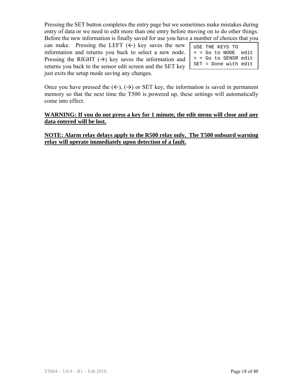Pressing the SET button completes the entry page but we sometimes make mistakes during entry of data or we need to edit more than one entry before moving on to do other things. Before the new information is finally saved for use you have a number of choices that you

can make. Pressing the LEFT  $(\leftarrow)$  key saves the new information and returns you back to select a new node. Pressing the RIGHT  $(\rightarrow)$  key saves the information and returns you back to the sensor edit screen and the SET key just exits the setup mode saving any changes.

| USE THE KEYS TO        |  |
|------------------------|--|
| < = Go to NODE edit    |  |
| $>$ = Go to SENSR edit |  |
| SET = Done with edit   |  |

Once you have pressed the  $(\leftarrow)$ ,  $(\rightarrow)$  or SET key, the information is saved in permanent memory so that the next time the T500 is powered up, these settings will automatically come into effect.

#### **WARNING: If you do not press a key for 1 minute, the edit menu will close and any data entered will be lost.**

**NOTE: Alarm relay delays apply to the R500 relay only. The T500 onboard warning relay will operate immediately upon detection of a fault.**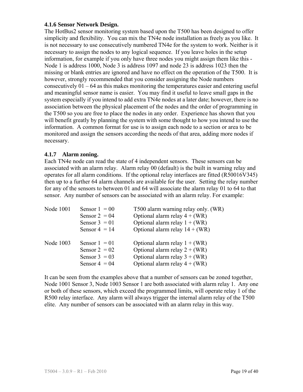#### **4.1.6 Sensor Network Design.**

The HotBus2 sensor monitoring system based upon the T500 has been designed to offer simplicity and flexibility. You can mix the TN4e node installation as freely as you like. It is not necessary to use consecutively numbered TN4e for the system to work. Neither is it necessary to assign the nodes to any logical sequence. If you leave holes in the setup information, for example if you only have three nodes you might assign them like this - Node 1 is address 1000, Node 3 is address 1097 and node 23 is address 1023 then the missing or blank entries are ignored and have no effect on the operation of the T500. It is however, strongly recommended that you consider assigning the Node numbers consecutively 01 – 64 as this makes monitoring the temperatures easier and entering useful and meaningful sensor name is easier. You may find it useful to leave small gaps in the system especially if you intend to add extra TN4e nodes at a later date; however, there is no association between the physical placement of the nodes and the order of programming in the T500 so you are free to place the nodes in any order. Experience has shown that you will benefit greatly by planning the system with some thought to how you intend to use the information. A common format for use is to assign each node to a section or area to be monitored and assign the sensors according the needs of that area, adding more nodes if necessary.

#### **4.1.7 Alarm zoning.**

Each TN4e node can read the state of 4 independent sensors. These sensors can be associated with an alarm relay. Alarm relay 00 (default) is the built in warning relay and operates for all alarm conditions. If the optional relay interfaces are fitted (R50016V345) then up to a further 64 alarm channels are available for the user. Setting the relay number for any of the sensors to between 01 and 64 will associate the alarm relay 01 to 64 to that sensor. Any number of sensors can be associated with an alarm relay. For example:

| Node 1001 | Sensor $1 = 00$ | T500 alarm warning relay only. (WR) |
|-----------|-----------------|-------------------------------------|
|           | Sensor $2 = 04$ | Optional alarm relay $4 + (WR)$     |
|           | Sensor $3 = 01$ | Optional alarm relay $1 + (WR)$     |
|           | Sensor $4 = 14$ | Optional alarm relay $14 + (WR)$    |
| Node 1003 | Sensor $1 = 01$ | Optional alarm relay $1 + (WR)$     |
|           | Sensor $2 = 02$ | Optional alarm relay $2 + (WR)$     |
|           | Sensor $3 = 03$ | Optional alarm relay $3 + (WR)$     |
|           | Sensor $4 = 04$ | Optional alarm relay $4 + (WR)$     |

It can be seen from the examples above that a number of sensors can be zoned together, Node 1001 Sensor 3, Node 1003 Sensor 1 are both associated with alarm relay 1. Any one or both of these sensors, which exceed the programmed limits, will operate relay 1 of the R500 relay interface. Any alarm will always trigger the internal alarm relay of the T500 elite. Any number of sensors can be associated with an alarm relay in this way.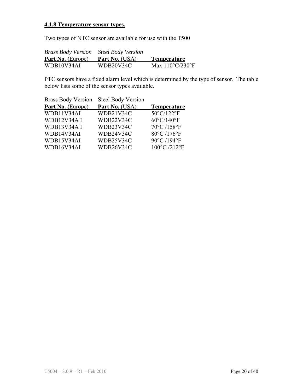## **4.1.8 Temperature sensor types.**

Two types of NTC sensor are available for use with the T500

| <b>Brass Body Version</b> Steel Body Version |                       |                                      |
|----------------------------------------------|-----------------------|--------------------------------------|
| <b>Part No.</b> (Europe)                     | <b>Part No.</b> (USA) | <b>Temperature</b>                   |
| WDB10V34AI                                   | WDB20V34C             | Max $110^{\circ}$ C/230 $^{\circ}$ F |

PTC sensors have a fixed alarm level which is determined by the type of sensor. The table below lists some of the sensor types available.

| <b>Steel Body Version</b> |                      |
|---------------------------|----------------------|
| Part No. (USA)            | <b>Temperature</b>   |
| WDB21V34C                 | 50°C/122°F           |
| WDB22V34C                 | $60^{\circ}$ C/140°F |
| WDB23V34C                 | 70°C /158°F          |
| WDB24V34C                 | 80°C /176°F          |
| WDB25V34C                 | 90°C /194°F          |
| WDB26V34C                 | 100°C /212°F         |
|                           |                      |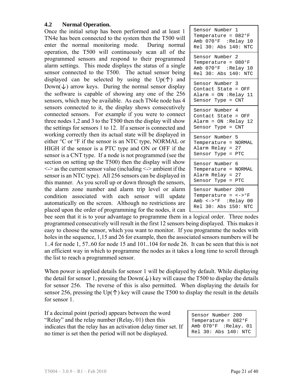#### **4.2 Normal Operation.**

Once the initial setup has been performed and at least 1 TN4e has been connected to the system then the T500 will enter the normal monitoring mode. During normal operation, the T500 will continuously scan all of the programmed sensors and respond to their programmed alarm settings. This mode displays the status of a single sensor connected to the T500. The actual sensor being displayed can be selected by using the  $Up(\uparrow)$  and  $Down(\downarrow)$  arrow keys. During the normal sensor display the software is capable of showing any one of the 256 sensors, which may be available. As each TN4e node has 4 sensors connected to it, the display shows consecutively connected sensors. For example if you were to connect three nodes 1,2 and 3 to the T500 then the display will show the settings for sensors 1 to 12. If a sensor is connected and working correctly then its actual state will be displayed in either °C or °F if the sensor is an NTC type, NORMAL or HIGH if the sensor is a PTC type and ON or OFF if the sensor is a CNT type. If a node is not programmed (see the section on setting up the T500) then the display will show <-> as the current sensor value (including <-> ambient if the sensor is an NTC type). All 256 sensors can be displayed in this manner. As you scroll up or down through the sensors, the alarm zone number and alarm trip level or alarm condition associated with each sensor will update automatically on the screen. Although no restrictions are placed upon the order of programming for the nodes, it can  $\perp$ 

| Sensor Number 1<br>Temperature = 082°F<br>Amb 070°F :Relay 10<br>Rel 30: Abs 140: NTC                                                      |
|--------------------------------------------------------------------------------------------------------------------------------------------|
| Sensor Number 2<br>Temperature = $080^{\circ}$ F<br>Amb 070°F :Relay 10<br>Rel 30: Abs 140: NTC                                            |
| Sensor Number 3<br>Contact State = OFF<br>Alarm = $ON$ :Relay 11<br>Sensor Type = CNT                                                      |
| Sensor Number 4<br>Contact State = OFF<br>Alarm = $ON$ :Relay 12<br>Sensor Type = CNT                                                      |
| Sensor Number 5<br>Temperature = NORMAL<br>Alarm Relay = 27<br>Sensor Type = PTC                                                           |
| Sensor Number 6<br>Temperature = NORMAL<br>Alarm Relay = 27<br>Sensor Type = PTC                                                           |
| Sensor Number 200<br>Temperature = $\leftarrow$ > $\text{P}_{\text{F}}$<br>Amb $\leftarrow$ > $\circ$ F : Relay 00<br>Rel 30: Abs 150: NTC |

bee seen that it is to your advantage to programme them in a logical order. Three nodes programmed consecutively will result in the first 12 sensors being displayed. This makes it easy to choose the sensor, which you want to monitor. If you programme the nodes with holes in the sequence, 1,15 and 26 for example, then the associated sensors numbers will be 1..4 for node 1, 57..60 for node 15 and 101..104 for node 26. It can be seen that this is not an efficient way in which to programme the nodes as it takes a long time to scroll through the list to reach a programmed sensor.

When power is applied details for sensor 1 will be displayed by default. While displaying the detail for sensor 1, pressing the Down( $\downarrow$ ) key will cause the T500 to display the details for sensor 256. The reverse of this is also permitted. When displaying the details for sensor 256, pressing the Up( $\uparrow$ ) key will cause the T500 to display the result in the details for sensor 1.

If a decimal point (period) appears between the word "Relay" and the relay number (Relay**.** 01) then this indicates that the relay has an activation delay timer set. If no timer is set then the period will not be displayed.

Sensor Number 200 Temperature = 082°F Amb 070°F :Relay**.** 01 Rel 30: Abs 140: NTC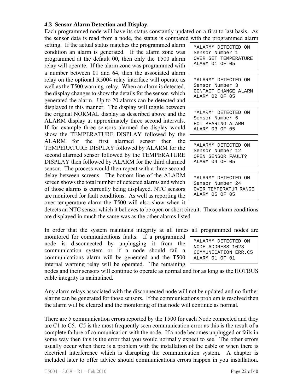# **4.3 Sensor Alarm Detection and Display.**

Each programmed node will have its status constantly updated on a first to last basis. As the sensor data is read from a node, the status is compared with the programmed alarm

setting. If the actual status matches the programmed alarm condition an alarm is generated. If the alarm zone was programmed at the default 00, then only the T500 alarm relay will operate. If the alarm zone was programmed with a number between 01 and 64, then the associated alarm relay on the optional R5004 relay interface will operate as well as the T500 warning relay. When an alarm is detected, the display changes to show the details for the sensor, which generated the alarm. Up to 20 alarms can be detected and displayed in this manner. The display will toggle between the original NORMAL display as described above and the ALARM display at approximately three second intervals. If for example three sensors alarmed the display would show the TEMPERATURE DISPLAY followed by the ALARM for the first alarmed sensor then the TEMPERATURE DISPLAY followed by ALARM for the second alarmed sensor followed by the TEMPERATURE DISPLAY then followed by ALARM for the third alarmed sensor. The process would then repeat with a three second delay between screens. The bottom line of the ALARM screen shows the total number of detected alarms and which of those alarms is currently being displayed. NTC sensors are monitored for fault conditions. As well as reporting the over temperature alarm the T500 will also show when it

\*ALARM\* DETECTED ON Sensor Number 1 OVER SET TEMPERATURE ALARM 01 OF 05

\*ALARM\* DETECTED ON Sensor Number 3 CONTACT CHANGE ALARM ALARM 02 OF 05

\*ALARM\* DETECTED ON Sensor Number 6 HOT BEARING ALARM ALARM 03 OF 05

\*ALARM\* DETECTED ON Sensor Number 12 OPEN SENSOR FAULT? ALARM 04 OF 05

\*ALARM\* DETECTED ON Sensor Number 24 OVER TEMPERATUR RANGE ALARM 05 OF 05

detects an NTC sensor which it believes to be open or short circuit. These alarm conditions are displayed in much the same was as the other alarms listed

In order that the system maintains integrity at all times all programmed nodes are

monitored for communications faults. If a programmed node is disconnected by unplugging it from the communication system or if a node should fail a communications alarm will be generated and the T500 internal warning relay will be operated. The remaining

nodes and their sensors will continue to operate as normal and for as long as the HOTBUS cable integrity is maintained.

Any alarm relays associated with the disconnected node will not be updated and no further alarms can be generated for those sensors. If the communications problem is resolved then the alarm will be cleared and the monitoring of that node will continue as normal.

There are 5 communication errors reported by the T500 for each Node connected and they are C1 to C5. C5 is the most frequently seen communication error as this is the result of a complete failure of communication with the node. If a node becomes unplugged or fails in some way then this is the error that you would normally expect to see. The other errors usually occur when there is a problem with the installation of the cable or when there is electrical interference which is disrupting the communication system. A chapter is included later to offer advice should communications errors happen in you installation.

\*ALARM\* DETECTED ON NODE ADDRESS 1023 COMMUNICATION ERR.C5 ALARM 01 OF 01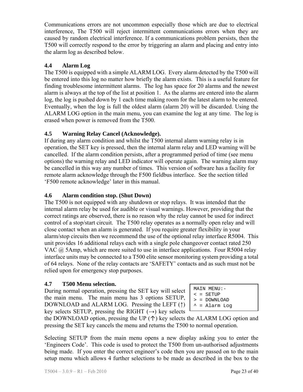Communications errors are not uncommon especially those which are due to electrical interference, The T500 will reject intermittent communications errors when they are caused by random electrical interference. If a communications problem persists, then the T500 will correctly respond to the error by triggering an alarm and placing and entry into the alarm log as described below.

## **4.4 Alarm Log**

The T500 is equipped with a simple ALARM LOG. Every alarm detected by the T500 will be entered into this log no matter how briefly the alarm exists. This is a useful feature for finding troublesome intermittent alarms. The log has space for 20 alarms and the newest alarm is always at the top of the list at position 1. As the alarms are entered into the alarm log, the log is pushed down by 1 each time making room for the latest alarm to be entered. Eventually, when the log is full the oldest alarm (alarm 20) will be discarded. Using the ALARM LOG option in the main menu, you can examine the log at any time. The log is erased when power is removed from the T500.

# **4.5 Warning Relay Cancel (Acknowledge).**

If during any alarm condition and whilst the T500 internal alarm warning relay is in operation, the SET key is pressed, then the internal alarm relay and LED warning will be cancelled. If the alarm condition persists, after a programmed period of time (see menu options) the warning relay and LED indicator will operate again. The warning alarm may be cancelled in this way any number of times. This version of software has a facility for remote alarm acknowledge through the F500 fieldbus interface. See the section titled 'F500 remote acknowledge' later in this manual.

## **4.6 Alarm condition stop. (Shut Down)**

The T500 is not equipped with any shutdown or stop relays. It was intended that the internal alarm relay be used for audible or visual warnings. However, providing that the correct ratings are observed, there is no reason why the relay cannot be used for indirect control of a stop/start circuit. The T500 relay operates as a normally open relay and will close contact when an alarm is generated. If you require greater flexibility in your alarm/stop circuits then we recommend the use of the optional relay interface R5004. This unit provides 16 additional relays each with a single pole changeover contact rated 250 VAC  $\omega$  5Amp, which are more suited to use in interface applications. Four R5004 relay interface units may be connected to a T500 elite sensor monitoring system providing a total of 64 relays. None of the relay contacts are 'SAFETY' contacts and as such must not be relied upon for emergency stop purposes.

#### **4.7 T500 Menu selection.**

During normal operation, pressing the SET key will select the main menu. The main menu has 3 options SETUP, DOWNLOAD and ALARM LOG. Pressing the LEFT (↑) key selects SETUP, pressing the RIGHT  $(\rightarrow)$  key selects

MAIN MENU:-  $\leq$  = SETUP

> = DOWNLOAD

 $^{\sim}$  = Alarm Log

the DOWNLOAD option, pressing the UP  $(\uparrow)$  key selects the ALARM LOG option and pressing the SET key cancels the menu and returns the T500 to normal operation.

Selecting SETUP from the main menu opens a new display asking you to enter the 'Engineers Code'. This code is used to protect the T500 from un-authorised adjustments being made. If you enter the correct engineer's code then you are passed on to the main setup menu which allows 4 further selections to be made as described in the box to the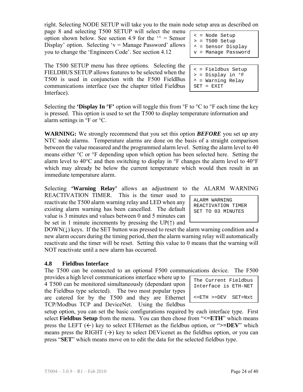right. Selecting NODE SETUP will take you to the main node setup area as described on

page 8 and selecting T500 SETUP will select the menu option shown below. See section 4.9 for the  $\gamma$  = Sensor Display' option. Selecting ' $v =$ Manage Password' allows you to change the 'Engineers Code'. See section 4.12

The T500 SETUP menu has three options. Selecting the FIELDBUS SETUP allows features to be selected when the T500 is used in conjunction with the F500 FieldBus communications interface (see the chapter titled Fieldbus Interface).

Selecting the **'Display In**  ${}^{\circ}$ **F'** option will toggle this from  ${}^{\circ}$ F to  ${}^{\circ}$ C to  ${}^{\circ}$ F each time the key is pressed. This option is used to set the T500 to display temperature information and alarm settings in °F or °C.

**WARNING:** We strongly recommend that you set this option *BEFORE* you set up any NTC node alarms. Temperature alarms are done on the basis of a straight comparison between the value measured and the programmed alarm level. Setting the alarm level to 40 means either °C or °F depending upon which option has been selected here. Setting the alarm level to 40 $\rm ^{\circ}C$  and then switching to display in  $\rm ^{\circ}F$  changes the alarm level to 40 $\rm ^{\circ}F$ which may already be below the current temperature which would then result in an immediate temperature alarm.

Selecting **'Warning Relay'** allows an adjustment to the ALARM WARNING REACTIVATION TIMER. This is the timer used to reactivate the T500 alarm warning relay and LED when any existing alarm warning has been cancelled. The default value is 3 minutes and values between 0 and 5 minutes can be set in 1 minute increments by pressing the UP $(†)$  and

 $DOWN(\downarrow)$  keys. If the SET button was pressed to reset the alarm warning condition and a new alarm occurs during the timing period, then the alarm warning relay will automatically reactivate and the timer will be reset. Setting this value to 0 means that the warning will NOT reactivate until a new alarm has occurred.

# **4.8 Fieldbus Interface**

The T500 can be connected to an optional F500 communications device. The F500

provides a high level communications interface where up to 4 T500 can be monitored simultaneously (dependant upon the Fieldbus type selected). The two most popular types are catered for by the T500 and they are Ethernet TCP/Modbus TCP and DeviceNet. Using the fieldbus

setup option, you can set the basic configurations required by each interface type. First select **Fieldbus Setup** from the menu. You can then chose from "**<=ETH**" which means press the LEFT  $(\leftarrow)$  key to select ETHernet as the fieldbus option, or " $>=$ DEV" which means press the RIGHT  $(\rightarrow)$  key to select DEVicenet as the fieldbus option, or you can press "**SET**" which means move on to edit the data for the selected fieldbus type.

< = Fieldbus Setup > = Display in °F  $^*$  = Warning Relay

< = Node Setup > = T500 Setup ^ = Sensor Display v = Manage Password

SET = EXIT

ALARM WARNING REACTIVATION TIMER SET TO 03 MINUTES

The Current Fieldbus Interface is ETH-NET

<=ETH >=DEV SET=Nxt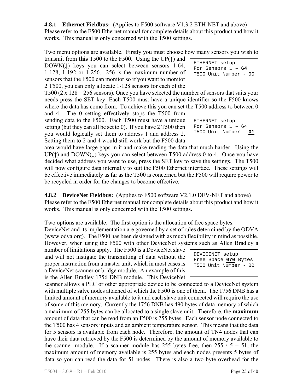**4.8.1 Ethernet Fieldbus:** (Applies to F500 software V1.3.2 ETH-NET and above) Please refer to the F500 Ethernet manual for complete details about this product and how it works. This manual is only concerned with the T500 settings.

Two menu options are available. Firstly you must choose how many sensors you wish to

transmit from **this** T500 to the F500. Using the UP(↑) and  $DOWN(\downarrow)$  keys you can select between sensors 1-64, 1-128, 1-192 or 1-256. 256 is the maximum number of sensors that the F500 can monitor so if you want to monitor 2 T500, you can only allocate 1-128 sensors for each of the

T500 (2 x  $128 = 256$  sensors). Once you have selected the number of sensors that suits your needs press the SET key. Each T500 must have a unique identifier so the F500 knows where the data has come from. To achieve this you can set the T500 address to between 0

and 4. The 0 setting effectively stops the T500 from sending data to the F500. Each T500 must have a unique setting (but they can all be set to 0). If you have 2 T500 then you would logically set them to address 1 and address 2. Setting them to 2 and 4 would still work but the F500 data

area would have large gaps in it and make reading the data that much harder. Using the  $UP(\uparrow)$  and  $DOWN(\downarrow)$  keys you can select between T500 address 0 to 4. Once you have decided what address you want to use, press the SET key to save the settings. The T500 will now configure data internally to suit the F500 Ethernet interface. These settings will be effective immediately as far as the T500 is concerned but the F500 will require power to be recycled in order for the changes to become effective.

**4.8.2 DeviceNet Fieldbus:** (Applies to F500 software V2.1.0 DEV-NET and above) Please refer to the F500 Ethernet manual for complete details about this product and how it works. This manual is only concerned with the T500 settings.

Two options are available. The first option is the allocation of free space bytes. DeviceNet and its implementation are governed by a set of rules determined by the ODVA (www.odva.org). The F500 has been designed with as much flexibility in mind as possible. However, when using the F500 with other DeviceNet systems such as Allen Bradley a

number of limitations apply. The F500 is a DeviceNet slave and will not instigate the transmitting of data without the proper instruction from a master unit, which in most cases is a DeviceNet scanner or bridge module. An example of this is the Allen Bradley 1756 DNB module. This DeviceNet

scanner allows a PLC or other appropriate device to be connected to a DeviceNet system with multiple salve nodes attached of which the F500 is one of them. The 1756 DNB has a limited amount of memory available to it and each slave unit connected will require the use of some of this memory. Currently the 1756 DNB has 490 bytes of data memory of which a maximum of 255 bytes can be allocated to a single slave unit. Therefore, the **maximum** amount of data that can be read from an F500 is 255 bytes. Each sensor node connected to the T500 has 4 sensors inputs and an ambient temperature sensor. This means that the data for 5 sensors is available from each node. Therefore, the amount of TN4 nodes that can have their data retrieved by the F500 is determined by the amount of memory available to the scanner module. If a scanner module has 255 bytes free, then  $255 / 5 = 51$ , the maximum amount of memory available is 255 bytes and each nodes presents 5 bytes of data so you can read the data for 51 nodes. There is also a two byte overhead for the

| ETHERNET setup        |
|-----------------------|
| For Sensors $1 - 64$  |
| T500 Unit Number - 00 |
|                       |

ETHERNET setup For Sensors 1 – 64 T500 Unit Number - **01**

| DEVICENET setup       |
|-----------------------|
| Free Space 070 Bytes  |
| T500 Unit Number - 00 |
|                       |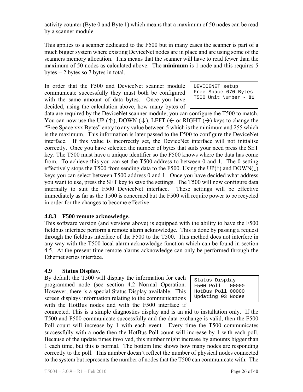activity counter (Byte 0 and Byte 1) which means that a maximum of 50 nodes can be read by a scanner module.

This applies to a scanner dedicated to the F500 but in many cases the scanner is part of a much bigger system where existing DeviceNet nodes are in place and are using some of the scanners memory allocation. This means that the scanner will have to read fewer than the maximum of 50 nodes as calculated above. The **minimum** is 1 node and this requires 5 bytes  $+ 2$  bytes so 7 bytes in total.

In order that the F500 and DeviceNet scanner module communicate successfully they must both be configured with the same amount of data bytes. Once you have decided, using the calculation above, how many bytes of

DEVICENET setup Free Space 070 Bytes T500 Unit Number - **01**

data are required by the DeviceNet scanner module, you can configure the T500 to match. You can now use the UP ( $\uparrow$ ), DOWN ( $\downarrow$ ), LEFT ( $\leftarrow$  or RIGHT ( $\rightarrow$ ) keys to change the "Free Space xxx Bytes" entry to any value between 5 which is the minimum and 255 which is the maximum. This information is later passed to the F500 to configure the DeviceNet interface. If this value is incorrectly set, the DeviceNet interface will not initialise correctly. Once you have selected the number of bytes that suits your need press the SET key. The T500 must have a unique identifier so the F500 knows where the data has come from. To achieve this you can set the T500 address to between 0 and 1. The 0 setting effectively stops the T500 from sending data to the F500. Using the UP( $\uparrow$ ) and DOWN( $\downarrow$ ) keys you can select between T500 address 0 and 1. Once you have decided what address you want to use, press the SET key to save the settings. The T500 will now configure data internally to suit the F500 DeviceNet interface. These settings will be effective immediately as far as the T500 is concerned but the F500 will require power to be recycled in order for the changes to become effective.

#### **4.8.3 F500 remote acknowledge.**

This software version (and versions above) is equipped with the ability to have the F500 fieldbus interface perform a remote alarm acknowledge. This is done by passing a request through the fieldbus interface of the F500 to the T500. This method does not interfere in any way with the T500 local alarm acknowledge function which can be found in section 4.5. At the present time remote alarms acknowledge can only be performed through the Ethernet series interface.

#### **4.9 Status Display.**

By default the T500 will display the information for each programmed node (see section 4.2 Normal Operation. However, there is a special Status Display available. This screen displays information relating to the communications with the HotBus nodes and with the F500 interface if

Status Display<br>F500 Poll 00000  $F500$  Poll HotBus Poll 00000 Updating 03 Nodes

connected. This is a simple diagnostics display and is an aid to installation only. If the T500 and F500 communicate successfully and the data exchange is valid, then the F500 Poll count will increase by 1 with each event. Every time the T500 communicates successfully with a node then the HotBus Poll count will increase by 1 with each poll. Because of the update times involved, this number might increase by amounts bigger than 1 each time, but this is normal. The bottom line shows how many nodes are responding correctly to the poll. This number doesn't reflect the number of physical nodes connected to the system but represents the number of nodes that the T500 can communicate with. The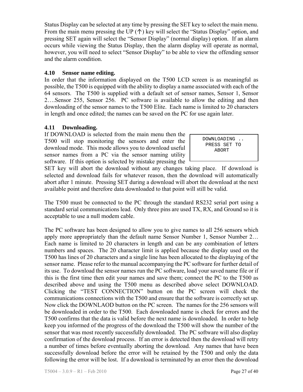Status Display can be selected at any time by pressing the SET key to select the main menu. From the main menu pressing the UP  $(\uparrow)$  key will select the "Status Display" option, and pressing SET again will select the "Sensor Display" (normal display) option. If an alarm occurs while viewing the Status Display, then the alarm display will operate as normal, however, you will need to select "Sensor Display" to be able to view the offending sensor and the alarm condition.

#### **4.10 Sensor name editing.**

In order that the information displayed on the T500 LCD screen is as meaningful as possible, the T500 is equipped with the ability to display a name associated with each of the 64 sensors. The T500 is supplied with a default set of sensor names, Sensor 1, Sensor 2….Sensor 255, Sensor 256. PC software is available to allow the editing and then downloading of the sensor names to the T500 Elite. Each name is limited to 20 characters in length and once edited; the names can be saved on the PC for use again later.

## **4.11 Downloading.**

If DOWNLOAD is selected from the main menu then the T500 will stop monitoring the sensors and enter the download mode. This mode allows you to download useful sensor names from a PC via the sensor naming utility software. If this option is selected by mistake pressing the

 DOWNLOADING .. PRESS SET TO ABORT

SET key will abort the download without any changes taking place. If download is selected and download fails for whatever reason, then the download will automatically abort after 1 minute. Pressing SET during a download will abort the download at the next available point and therefore data downloaded to that point will still be valid.

The T500 must be connected to the PC through the standard RS232 serial port using a standard serial communications lead. Only three pins are used TX, RX, and Ground so it is acceptable to use a null modem cable.

The PC software has been designed to allow you to give names to all 256 sensors which apply more appropriately than the default name Sensor Number 1, Sensor Number 2… Each name is limited to 20 characters in length and can be any combination of letters numbers and spaces. The 20 character limit is applied because the display used on the T500 has lines of 20 characters and a single line has been allocated to the displaying of the sensor name. Please refer to the manual accompanying the PC software for further detail of its use. To download the sensor names run the PC software, load your saved name file or if this is the first time then edit your names and save them; connect the PC to the T500 as described above and using the T500 menu as described above select DOWNLOAD. Clicking the "TEST CONNECTION" button on the PC screen will check the communications connections with the T500 and ensure that the software is correctly set up. Now click the DOWNLAOD button on the PC screen. The names for the 256 sensors will be downloaded in order to the T500. Each downloaded name is check for errors and the T500 confirms that the data is valid before the next name is downloaded. In order to help keep you informed of the progress of the download the T500 will show the number of the sensor that was most recently successfully downloaded. The PC software will also display confirmation of the download process. If an error is detected then the download will retry a number of times before eventually aborting the download. Any names that have been successfully download before the error will be retained by the T500 and only the data following the error will be lost. If a download is terminated by an error then the download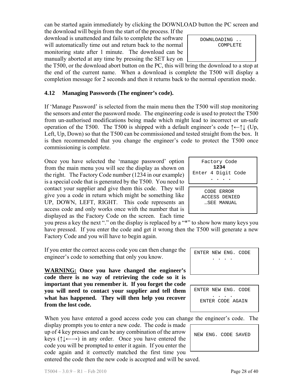can be started again immediately by clicking the DOWNLOAD button the PC screen and the download will begin from the start of the process. If the

download is unattended and fails to complete the software will automatically time out and return back to the normal monitoring state after 1 minute. The download can be manually aborted at any time by pressing the SET key on

the T500, or the download abort button on the PC, this will bring the download to a stop at the end of the current name. When a download is complete the T500 will display a completion message for 2 seconds and then it returns back to the normal operation mode.

# **4.12 Managing Passwords (The engineer's code).**

If 'Manage Password' is selected from the main menu then the T500 will stop monitoring the sensors and enter the password mode. The engineering code is used to protect the T500 from un-authorised modifications being made which might lead to incorrect or un-safe operation of the T500. The T500 is shipped with a default engineer's code ↑←↑↓ (Up, Left, Up, Down) so that the T500 can be commissioned and tested straight from the box. It is then recommended that you change the engineer's code to protect the T500 once commissioning is complete.

Once you have selected the 'manage password' option from the main menu you will see the display as shown on the right. The Factory Code number (1234 in our example) is a special code that is generated by the T500. You need to contact your supplier and give them this code. They will give you a code in return which might be something like UP, DOWN, LEFT, RIGHT. This code represents an access code and only works once with the number that is displayed as the Factory Code on the screen. Each time

you press a key the next "." on the display is replaced by a "\*" to show how many keys you have pressed. If you enter the code and get it wrong then the T500 will generate a new Factory Code and you will have to begin again.

If you enter the correct access code you can then change the engineer's code to something that only you know.

**WARNING: Once you have changed the engineer's code there is no way of retrieving the code so it is important that you remember it. If you forget the code you will need to contact your supplier and tell them what has happened. They will then help you recover from the lost code.** 

When you have entered a good access code you can change the engineer's code. The

display prompts you to enter a new code. The code is made up of 4 key presses and can be any combination of the arrow keys ( $\uparrow \downarrow \leftarrow$ ) in any order. Once you have entered the code you will be prompted to enter it again. If you enter the code again and it correctly matched the first time you entered the code then the new code is accepted and will be saved.

 DOWNLOADING .. COMPLETE

| Factory Code<br>1234<br>Enter 4 Digit Code |
|--------------------------------------------|
|                                            |
| CODE ERROR                                 |
| ACCESS DENIED                              |
| SEE MANUAL                                 |
|                                            |

. . . .

ENTER NEW ENG. CODE

ENTER NEW ENG. CODE . . . . ENTER CODE AGAIN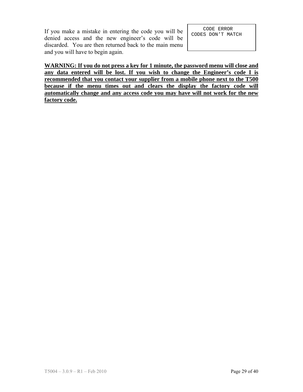If you make a mistake in entering the code you will be denied access and the new engineer's code will be discarded. You are then returned back to the main menu and you will have to begin again.

 CODE ERROR CODES DON'T MATCH

**WARNING: If you do not press a key for 1 minute, the password menu will close and any data entered will be lost. If you wish to change the Engineer's code I is recommended that you contact your supplier from a mobile phone next to the T500 because if the menu times out and clears the display the factory code will automatically change and any access code you may have will not work for the new factory code.**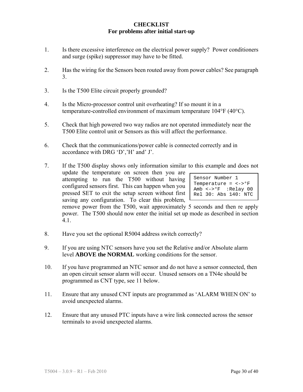#### **CHECKLIST For problems after initial start-up**

- 1. Is there excessive interference on the electrical power supply? Power conditioners and surge (spike) suppressor may have to be fitted.
- 2. Has the wiring for the Sensors been routed away from power cables? See paragraph 3.
- 3. Is the T500 Elite circuit properly grounded?
- 4. Is the Micro-processor control unit overheating? If so mount it in a temperature-controlled environment of maximum temperature 104°F (40°C).
- 5. Check that high powered two way radios are not operated immediately near the T500 Elite control unit or Sensors as this will affect the performance.
- 6. Check that the communications/power cable is connected correctly and in accordance with DRG 'D','H' and' J'.
- 7. If the T500 display shows only information similar to this example and does not update the temperature on screen then you are attempting to run the T500 without having configured sensors first. This can happen when you pressed SET to exit the setup screen without first saving any configuration. To clear this problem, remove power from the T500, wait approximately 5 seconds and then re apply power. The T500 should now enter the initial set up mode as described in section 4.1. Sensor Number 1 Temperature = <->°F Amb <->°F :Relay 00 Rel 30: Abs 140: NTC
- 8. Have you set the optional R5004 address switch correctly?
- 9. If you are using NTC sensors have you set the Relative and/or Absolute alarm level **ABOVE the NORMAL** working conditions for the sensor.
- 10. If you have programmed an NTC sensor and do not have a sensor connected, then an open circuit sensor alarm will occur. Unused sensors on a TN4e should be programmed as CNT type, see 11 below.
- 11. Ensure that any unused CNT inputs are programmed as 'ALARM WHEN ON' to avoid unexpected alarms.
- 12. Ensure that any unused PTC inputs have a wire link connected across the sensor terminals to avoid unexpected alarms.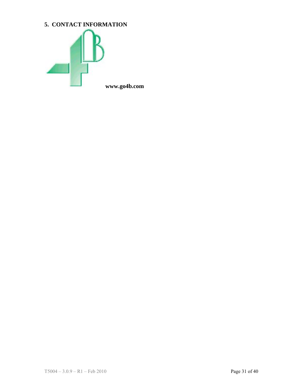# **5. CONTACT INFORMATION**



**www.go4b.com**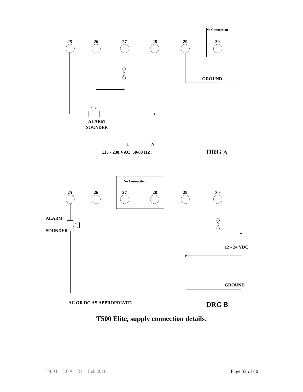

**T500 Elite, supply connection details.**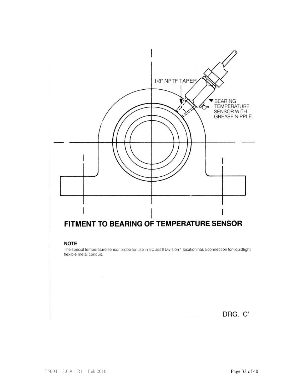

#### **NOTE**

The special temperature sensor probe for use in a Class II Division 1 location has a connection for liquidtight flexible metal conduit.

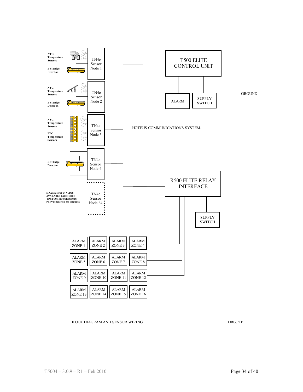

BLOCK DIAGRAM AND SENSOR WIRING DRG. 'D'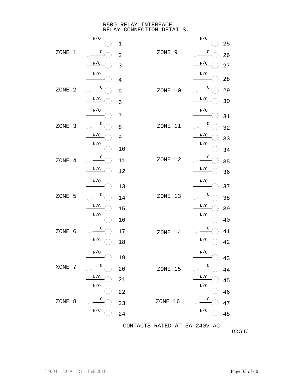R500 RELAY INTERFACE. RELAY CONNECTION DETAILS.



DRG'E'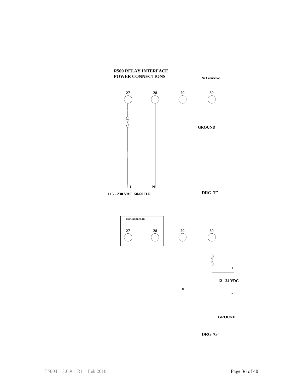



**DRG 'G'**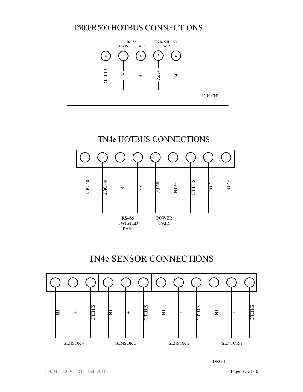# T500/R500 HOTBUS CONNECTIONS





# TN4e SENSOR CONNECTIONS



DRG J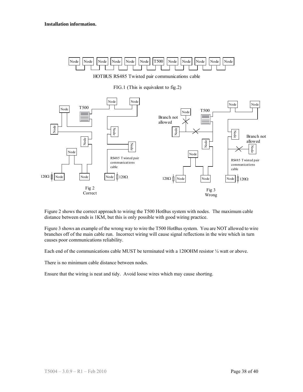

HOTBUS RS485 Twisted pair communications cable

FIG.1 (This is equivalent to fig.2)



Figure 2 shows the correct approach to wiring the T500 HotBus system with nodes. The maximum cable distance between ends is 1KM, but this is only possible with good wiring practice.

Figure 3 shows an example of the wrong way to wire the T500 HotBus system. You are NOT allowed to wire branches off of the main cable run. Incorrect wiring will cause signal reflections in the wire which in turn causes poor communications reliability.

Each end of the communications cable MUST be terminated with a 1200HM resistor  $\frac{1}{4}$  watt or above.

There is no minimum cable distance between nodes.

Ensure that the wiring is neat and tidy. Avoid loose wires which may cause shorting.